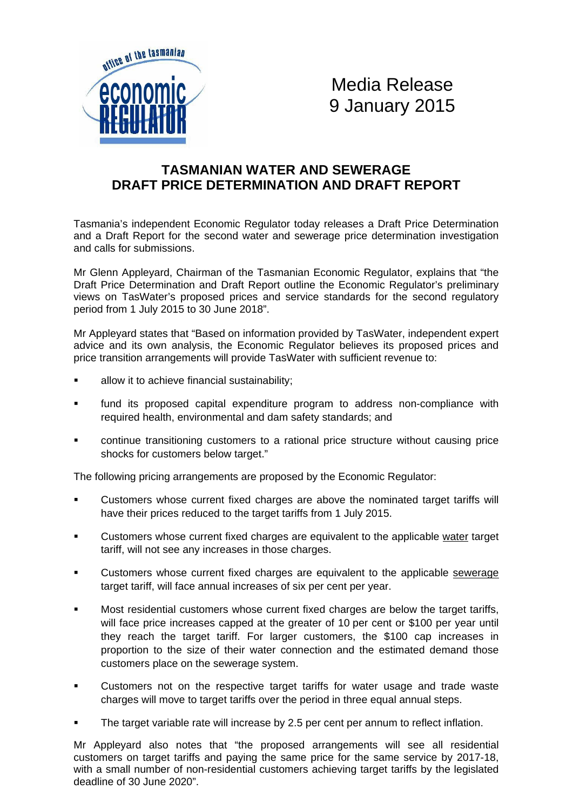

Media Release 9 January 2015

## **TASMANIAN WATER AND SEWERAGE DRAFT PRICE DETERMINATION AND DRAFT REPORT**

Tasmania's independent Economic Regulator today releases a Draft Price Determination and a Draft Report for the second water and sewerage price determination investigation and calls for submissions.

Mr Glenn Appleyard, Chairman of the Tasmanian Economic Regulator, explains that "the Draft Price Determination and Draft Report outline the Economic Regulator's preliminary views on TasWater's proposed prices and service standards for the second regulatory period from 1 July 2015 to 30 June 2018".

Mr Appleyard states that "Based on information provided by TasWater, independent expert advice and its own analysis, the Economic Regulator believes its proposed prices and price transition arrangements will provide TasWater with sufficient revenue to:

- allow it to achieve financial sustainability;
- fund its proposed capital expenditure program to address non-compliance with required health, environmental and dam safety standards; and
- continue transitioning customers to a rational price structure without causing price shocks for customers below target."

The following pricing arrangements are proposed by the Economic Regulator:

- Customers whose current fixed charges are above the nominated target tariffs will have their prices reduced to the target tariffs from 1 July 2015.
- Customers whose current fixed charges are equivalent to the applicable water target tariff, will not see any increases in those charges.
- Customers whose current fixed charges are equivalent to the applicable sewerage target tariff, will face annual increases of six per cent per year.
- Most residential customers whose current fixed charges are below the target tariffs, will face price increases capped at the greater of 10 per cent or \$100 per year until they reach the target tariff. For larger customers, the \$100 cap increases in proportion to the size of their water connection and the estimated demand those customers place on the sewerage system.
- **•** Customers not on the respective target tariffs for water usage and trade waste charges will move to target tariffs over the period in three equal annual steps.
- The target variable rate will increase by 2.5 per cent per annum to reflect inflation.

Mr Appleyard also notes that "the proposed arrangements will see all residential customers on target tariffs and paying the same price for the same service by 2017-18, with a small number of non-residential customers achieving target tariffs by the legislated deadline of 30 June 2020".